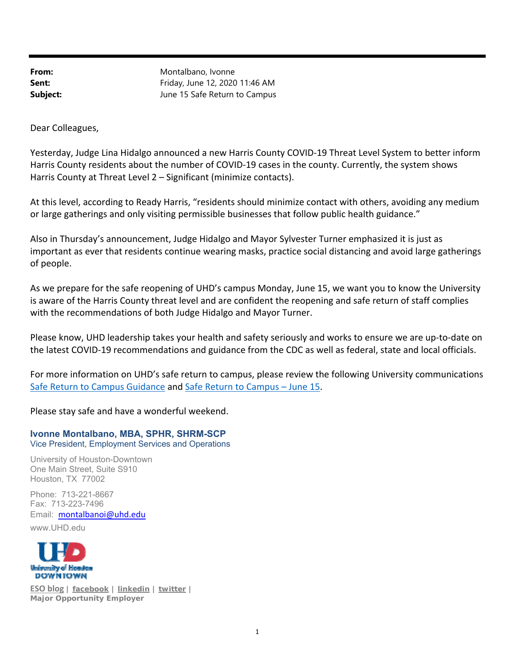From: Montalbano, Ivonne **Sent:** Friday, June 12, 2020 11:46 AM **Subject:** June 15 Safe Return to Campus

Dear Colleagues,

Yesterday, Judge Lina Hidalgo announced a new Harris County COVID‐19 Threat Level System to better inform Harris County residents about the number of COVID‐19 cases in the county. Currently, the system shows Harris County at Threat Level 2 – Significant (minimize contacts).

At this level, according to Ready Harris, "residents should minimize contact with others, avoiding any medium or large gatherings and only visiting permissible businesses that follow public health guidance."

Also in Thursday's announcement, Judge Hidalgo and Mayor Sylvester Turner emphasized it is just as important as ever that residents continue wearing masks, practice social distancing and avoid large gatherings of people.

As we prepare for the safe reopening of UHD's campus Monday, June 15, we want you to know the University is aware of the Harris County threat level and are confident the reopening and safe return of staff complies with the recommendations of both Judge Hidalgo and Mayor Turner.

Please know, UHD leadership takes your health and safety seriously and works to ensure we are up‐to‐date on the latest COVID‐19 recommendations and guidance from the CDC as well as federal, state and local officials.

For more information on UHD's safe return to campus, please review the following University communications Safe Return to Campus Guidance and Safe Return to Campus – June 15.

Please stay safe and have a wonderful weekend.

## **Ivonne Montalbano, MBA, SPHR, SHRM-SCP** Vice President, Employment Services and Operations

University of Houston-Downtown

One Main Street, Suite S910 Houston, TX 77002

Phone: 713-221-8667 Fax: 713-223-7496 Email: montalbanoi@uhd.edu www.UHD.edu



**ESO blog | facebook | linkedin | twitter | Major Opportunity Employer**